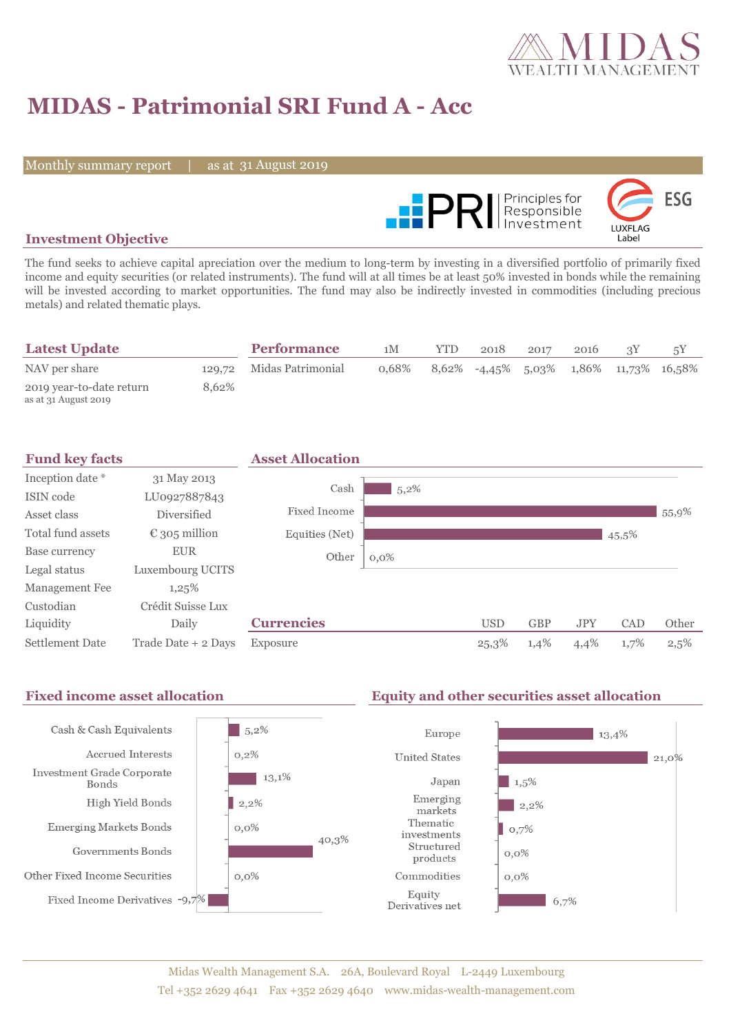

# **MIDAS - Patrimonial SRI Fund A - Acc**

Monthly summary report

31 August 2019



### **Investment Objective**

The fund seeks to achieve capital apreciation over the medium to long-term by investing in a diversified portfolio of primarily fixed income and equity securities (or related instruments). The fund will at all times be at least 50% invested in bonds while the remaining will be invested according to market opportunities. The fund may also be indirectly invested in commodities (including precious metals) and related thematic plays.

| <b>Latest Update</b>                             |       | <b>Performance</b>       | 1M    | YTD | 2018 | 2017 | 2016 |                                        |
|--------------------------------------------------|-------|--------------------------|-------|-----|------|------|------|----------------------------------------|
| NAV per share                                    |       | 129,72 Midas Patrimonial | 0.68% |     |      |      |      | 8,62% -4,45% 5,03% 1,86% 11,73% 16,58% |
| 2019 year-to-date return<br>as at 31 August 2019 | 8.62% |                          |       |     |      |      |      |                                        |



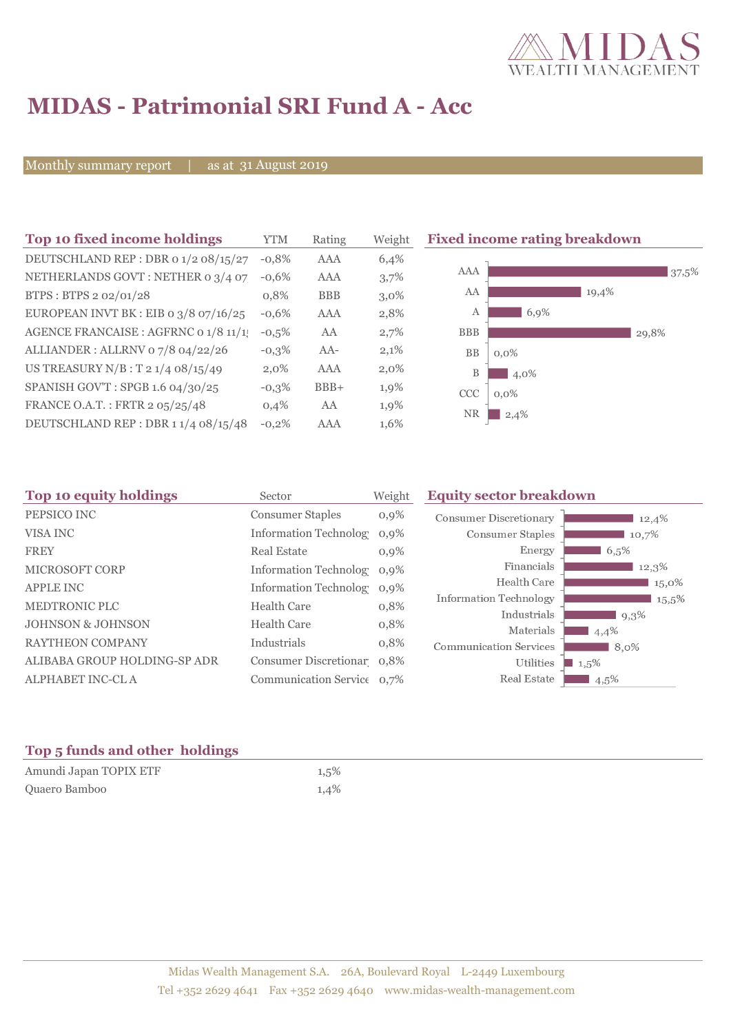

# **MIDAS - Patrimonial SRI Fund A - Acc**

Monthly summary report

31 August 2019

| Top 10 fixed income holdings          | <b>YTM</b> | Rating     | Weigh   |
|---------------------------------------|------------|------------|---------|
| DEUTSCHLAND REP : DBR 0 1/2 08/15/27  | $-0.8%$    | AAA        | 6,4%    |
| NETHERLANDS GOVT: NETHER 0 3/4 07     | $-0.6%$    | AAA        | 3,7%    |
| BTPS: BTPS 2 02/01/28                 | 0,8%       | <b>BBB</b> | $3,0\%$ |
| EUROPEAN INVT BK : EIB o 3/8 07/16/25 | $-0.6%$    | AAA        | 2,8%    |
| AGENCE FRANCAISE : AGFRNC 0 1/8 11/1! | $-0.5%$    | AA         | 2,7%    |
| ALLIANDER: ALLRNV 07/8 04/22/26       | $-0.3\%$   | $AA-$      | 2,1%    |
| US TREASURY $N/B$ : T 2 1/4 08/15/49  | 2,0%       | AAA        | $2,0\%$ |
| SPANISH GOV'T: SPGB 1.6 04/30/25      | $-0,3%$    | $BBB+$     | 1,9%    |
| FRANCE O.A.T.: FRTR 2 05/25/48        | 0,4%       | AA         | 1,9%    |
| DEUTSCHLAND REP: DBR 11/4 08/15/48    | $-0.2%$    | AAA        | 1,6%    |

**Fixed income rating breakdown** 



| Top 10 equity holdings<br>Sector |                              | Weight  | <b>Equity sector breakdown</b>             |          |  |
|----------------------------------|------------------------------|---------|--------------------------------------------|----------|--|
| PEPSICO INC                      | <b>Consumer Staples</b>      | $0,9\%$ | <b>Consumer Discretionary</b>              | 12,4%    |  |
| <b>VISA INC</b>                  | <b>Information Technolog</b> | $0.9\%$ | <b>Consumer Staples</b>                    | 10,7%    |  |
| <b>FREY</b>                      | <b>Real Estate</b>           | $0.9\%$ | Energy                                     | 6,5%     |  |
| <b>MICROSOFT CORP</b>            | Information Technolog 0,9%   |         | Financials                                 | 12,3%    |  |
| <b>APPLE INC</b>                 | Information Technolog 0,9%   |         | Health Care                                | 15,0%    |  |
| MEDTRONIC PLC                    | <b>Health Care</b>           | 0,8%    | Information Technology                     | $15,5\%$ |  |
| <b>JOHNSON &amp; JOHNSON</b>     | <b>Health Care</b>           | 0,8%    | Industrials                                | 9,3%     |  |
| <b>RAYTHEON COMPANY</b>          | Industrials                  | 0,8%    | Materials                                  | 4,4%     |  |
| ALIBABA GROUP HOLDING-SP ADR     | Consumer Discretionar 0,8%   |         | <b>Communication Services</b><br>Utilities | 8,0%     |  |
|                                  |                              |         | Real Estate                                | 1,5%     |  |
| ALPHABET INC-CL A                | Communication Service 0,7%   |         |                                            | $4,5\%$  |  |

### **Top 5 funds and other holdings**

| Amundi Japan TOPIX ETF | 1,5% |
|------------------------|------|
| Quaero Bamboo          | 1,4% |